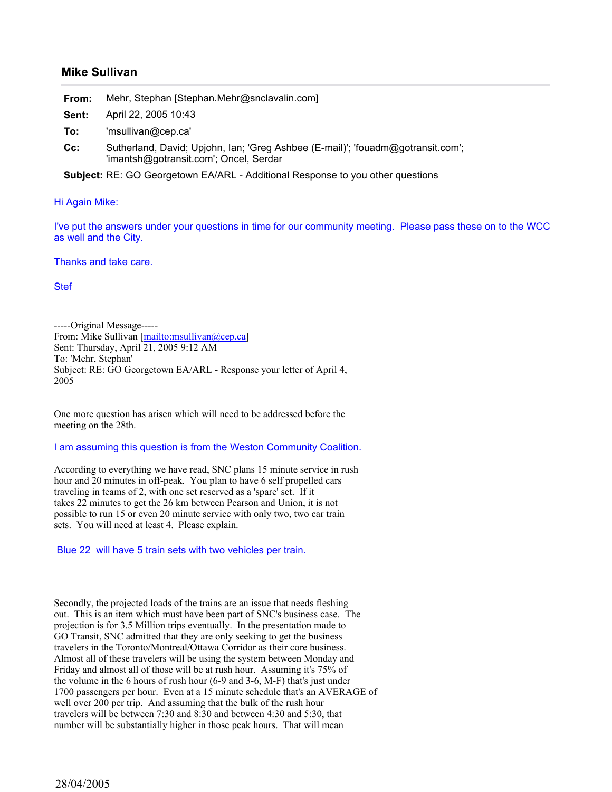## **Mike Sullivan**

**From:** Mehr, Stephan [Stephan.Mehr@snclavalin.com]

**Sent:** April 22, 2005 10:43

- **To:** 'msullivan@cep.ca'
- **Cc:** Sutherland, David; Upjohn, Ian; 'Greg Ashbee (E-mail)'; 'fouadm@gotransit.com'; 'imantsh@gotransit.com'; Oncel, Serdar

**Subject:** RE: GO Georgetown EA/ARL - Additional Response to you other questions

## Hi Again Mike:

I've put the answers under your questions in time for our community meeting. Please pass these on to the WCC as well and the City.

Thanks and take care.

Stef

-----Original Message----- From: Mike Sullivan [mailto:msullivan@cep.ca] Sent: Thursday, April 21, 2005 9:12 AM To: 'Mehr, Stephan' Subject: RE: GO Georgetown EA/ARL - Response your letter of April 4, 2005

One more question has arisen which will need to be addressed before the meeting on the 28th.

## I am assuming this question is from the Weston Community Coalition.

According to everything we have read, SNC plans 15 minute service in rush hour and 20 minutes in off-peak. You plan to have 6 self propelled cars traveling in teams of 2, with one set reserved as a 'spare' set. If it takes 22 minutes to get the 26 km between Pearson and Union, it is not possible to run 15 or even 20 minute service with only two, two car train sets. You will need at least 4. Please explain.

Blue 22 will have 5 train sets with two vehicles per train.

Secondly, the projected loads of the trains are an issue that needs fleshing out. This is an item which must have been part of SNC's business case. The projection is for 3.5 Million trips eventually. In the presentation made to GO Transit, SNC admitted that they are only seeking to get the business travelers in the Toronto/Montreal/Ottawa Corridor as their core business. Almost all of these travelers will be using the system between Monday and Friday and almost all of those will be at rush hour. Assuming it's 75% of the volume in the 6 hours of rush hour (6-9 and 3-6, M-F) that's just under 1700 passengers per hour. Even at a 15 minute schedule that's an AVERAGE of well over 200 per trip. And assuming that the bulk of the rush hour travelers will be between 7:30 and 8:30 and between 4:30 and 5:30, that number will be substantially higher in those peak hours. That will mean